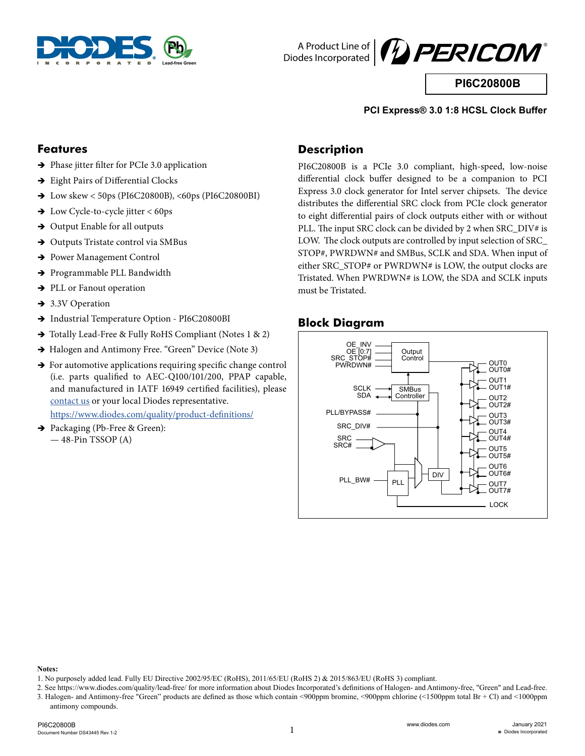



**PI6C20800B**

#### **PCI Express® 3.0 1:8 HCSL Clock Buffer**

#### **Features**

- $\rightarrow$  Phase jitter filter for PCIe 3.0 application
- $\rightarrow$  Eight Pairs of Differential Clocks
- $\rightarrow$  Low skew < 50ps (PI6C20800B), <60ps (PI6C20800BI)
- $\rightarrow$  Low Cycle-to-cycle jitter < 60ps
- $\rightarrow$  Output Enable for all outputs
- $\rightarrow$  Outputs Tristate control via SMBus
- → Power Management Control
- → Programmable PLL Bandwidth
- $\rightarrow$  PLL or Fanout operation
- $\rightarrow$  3.3V Operation
- $\rightarrow$  Industrial Temperature Option PI6C20800BI
- $\rightarrow$  Totally Lead-Free & Fully RoHS Compliant (Notes 1 & 2)
- $\rightarrow$  Halogen and Antimony Free. "Green" Device (Note 3)
- $\rightarrow$  For automotive applications requiring specific change control (i.e. parts qualified to AEC-Q100/101/200, PPAP capable, and manufactured in IATF 16949 certified facilities), please [contact us](https://www.diodes.com/about/contact-us/) or your local Diodes representative.

https://www.diodes.com/quality/product-definitions/

 $\rightarrow$  Packaging (Pb-Free & Green): — 48-Pin TSSOP (A)

### **Description**

PI6C20800B is a PCIe 3.0 compliant, high-speed, low-noise differential clock buffer designed to be a companion to PCI Express 3.0 clock generator for Intel server chipsets. The device distributes the differential SRC clock from PCIe clock generator to eight differential pairs of clock outputs either with or without PLL. The input SRC clock can be divided by 2 when SRC\_DIV# is LOW. The clock outputs are controlled by input selection of SRC\_ STOP#, PWRDWN# and SMBus, SCLK and SDA. When input of either SRC\_STOP# or PWRDWN# is LOW, the output clocks are Tristated. When PWRDWN# is LOW, the SDA and SCLK inputs must be Tristated.

#### **Block Diagram**



**Notes:** 

<sup>1.</sup> No purposely added lead. Fully EU Directive 2002/95/EC (RoHS), 2011/65/EU (RoHS 2) & 2015/863/EU (RoHS 3) compliant.

<sup>2.</sup> See https://www.diodes.com/quality/lead-free/ for more information about Diodes Incorporated's definitions of Halogen- and Antimony-free, "Green" and Lead-free. 3. Halogen- and Antimony-free "Green" products are defined as those which contain <900ppm bromine, <900ppm chlorine (<1500ppm total Br + Cl) and <1000ppm antimony compounds.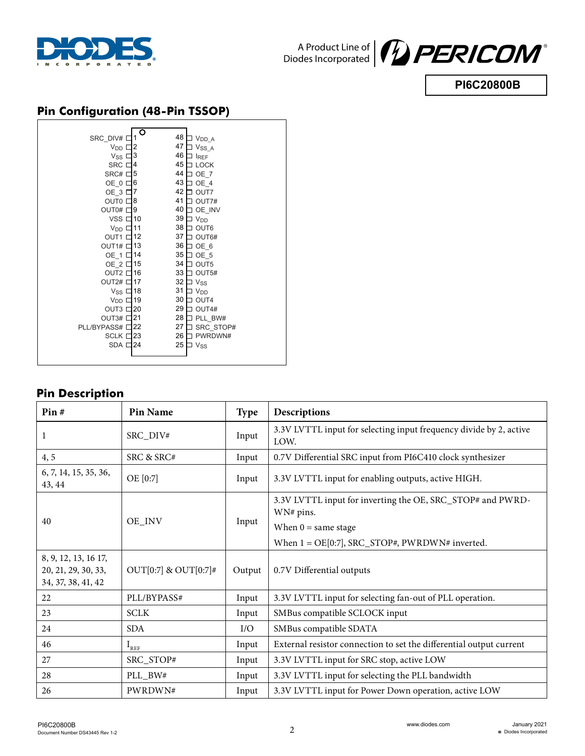



**PI6C20800B**

## **Pin Configuration (48-Pin TSSOP)**

| SRC_DIV#          | O  | 48 | $V_{DD\_A}$                                                                                 |
|-------------------|----|----|---------------------------------------------------------------------------------------------|
| V <sub>DD</sub>   | 2  | 47 | $\ensuremath{\mathsf{V}\text{s}}\ensuremath{\mathsf{s}}\ensuremath{\underline{\mathsf{A}}}$ |
| Vss I             | 3  | 46 | <b>IREF</b>                                                                                 |
| <b>SRC</b> D      | 4  | 45 | <b>LOCK</b>                                                                                 |
| SRC# D            | 5  | 44 | OE 7                                                                                        |
| OE 0 D            | 6  | 43 | OE 4                                                                                        |
| OE 3 I            | 7  | 42 | OUT7                                                                                        |
| OUT0 <sup>[</sup> | 8  | 41 | OUT7#                                                                                       |
| OUT0# I           | 9  | 40 | OE INV                                                                                      |
| VSS <sub>L</sub>  | 10 | 39 | <b>V<sub>DD</sub></b>                                                                       |
| $VDD$ [           | 11 | 38 | OUT <sub>6</sub>                                                                            |
| OUT1 D            | 12 | 37 | OUT6#                                                                                       |
| OUT1# I           | 13 | 36 | OE 6                                                                                        |
| OE_1 D            | 14 | 35 | OE 5                                                                                        |
| OE 2 D            | 15 | 34 | OUT5                                                                                        |
| OUT <sub>2</sub>  | 16 | 33 | OUT5#                                                                                       |
| OUT2# I           | 17 | 32 | Vss                                                                                         |
| Vss I             | 18 | 31 | <b>V<sub>DD</sub></b>                                                                       |
| $V_{DD}$ [        | 19 | 30 | OUT4                                                                                        |
| OUT3 I            | 20 | 29 | OUT4#                                                                                       |
| OUT3# D           | 21 | 28 | PLL BW#                                                                                     |
| PLL/BYPASS# I     | 22 | 27 | SRC STOP#                                                                                   |
| <b>SCLK I</b>     | 23 | 26 | PWRDWN#                                                                                     |
| SDA <sub>I</sub>  | 24 | 25 | <b>Vss</b>                                                                                  |
|                   |    |    |                                                                                             |
|                   |    |    |                                                                                             |

## **Pin Description**

| Pin#                                                              | <b>Pin Name</b>      | <b>Type</b> | Descriptions                                                               |
|-------------------------------------------------------------------|----------------------|-------------|----------------------------------------------------------------------------|
| 1                                                                 | SRC_DIV#             | Input       | 3.3V LVTTL input for selecting input frequency divide by 2, active<br>LOW. |
| 4, 5                                                              | SRC & SRC#           | Input       | 0.7V Differential SRC input from PI6C410 clock synthesizer                 |
| 6, 7, 14, 15, 35, 36,<br>43, 44                                   | OE [0:7]             | Input       | 3.3V LVTTL input for enabling outputs, active HIGH.                        |
| 40                                                                |                      |             | 3.3V LVTTL input for inverting the OE, SRC_STOP# and PWRD-<br>WN# pins.    |
|                                                                   | OE_INV               | Input       | When $0 =$ same stage                                                      |
|                                                                   |                      |             | When $1 = \text{OE}[0:7]$ , SRC_STOP#, PWRDWN# inverted.                   |
| 8, 9, 12, 13, 16 17,<br>20, 21, 29, 30, 33,<br>34, 37, 38, 41, 42 | OUT[0:7] & OUT[0:7]# | Output      | 0.7V Differential outputs                                                  |
| 22                                                                | PLL/BYPASS#          | Input       | 3.3V LVTTL input for selecting fan-out of PLL operation.                   |
| 23                                                                | <b>SCLK</b>          | Input       | SMBus compatible SCLOCK input                                              |
| 24                                                                | <b>SDA</b>           | I/O         | SMBus compatible SDATA                                                     |
| 46                                                                | $I_{REF}$            | Input       | External resistor connection to set the differential output current        |
| 27                                                                | SRC_STOP#            | Input       | 3.3V LVTTL input for SRC stop, active LOW                                  |
| 28                                                                | PLL_BW#              | Input       | 3.3V LVTTL input for selecting the PLL bandwidth                           |
| 26                                                                | PWRDWN#              | Input       | 3.3V LVTTL input for Power Down operation, active LOW                      |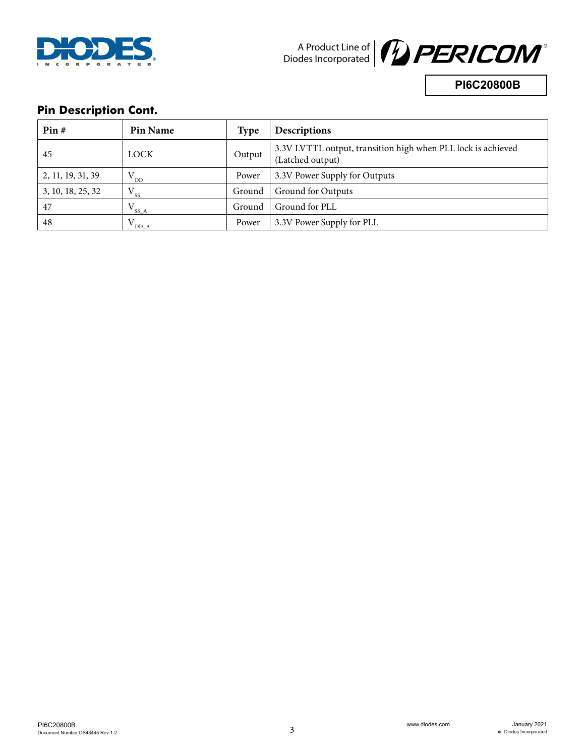



**PI6C20800B**

## **Pin Description Cont.**

| Pin#              | <b>Pin Name</b> | <b>Type</b> | <b>Descriptions</b>                                                              |
|-------------------|-----------------|-------------|----------------------------------------------------------------------------------|
| 45                | LOCK            | Output      | 3.3V LVTTL output, transition high when PLL lock is achieved<br>(Latched output) |
| 2, 11, 19, 31, 39 | $"$ DD          | Power       | 3.3V Power Supply for Outputs                                                    |
| 3, 10, 18, 25, 32 | $V_{ss}$        | Ground      | Ground for Outputs                                                               |
| 47                | $V_{SS\_A}$     | Ground      | Ground for PLL                                                                   |
| 48                | DD A            | Power       | 3.3V Power Supply for PLL                                                        |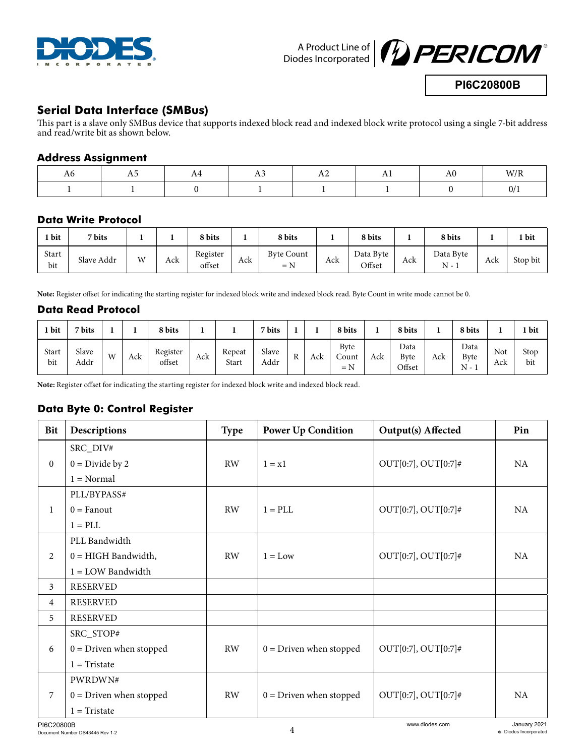



**PI6C20800B**

### **Serial Data Interface (SMBus)**

This part is a slave only SMBus device that supports indexed block read and indexed block write protocol using a single 7-bit address and read/write bit as shown below.

#### **Address Assignment**

| AC |  | . | ΑU | W/R |
|----|--|---|----|-----|
|    |  |   |    | V/  |

#### **Data Write Protocol**

| <b>bit</b>   | 7 bits     |   |     | 8 bits             |     | 8 bits                     |     | 8 bits              |     | 8 bits             |     | bit      |
|--------------|------------|---|-----|--------------------|-----|----------------------------|-----|---------------------|-----|--------------------|-----|----------|
| Start<br>bit | Slave Addr | W | Ack | Register<br>offset | Ack | <b>Byte Count</b><br>$= N$ | Ack | Data Byte<br>Offset | Ack | Data Byte<br>$N -$ | Ack | Stop bit |

**Note:** Register offset for indicating the starting register for indexed block write and indexed block read. Byte Count in write mode cannot be 0.

#### **Data Read Protocol**

| 1 bit        | 7 bits        |            |     | 8 bits             |     |                 | 7 bits        |                    |            | 8 bits                                           |     | 8 bits                        |     | 8 bits                                        |            | 1 bit       |
|--------------|---------------|------------|-----|--------------------|-----|-----------------|---------------|--------------------|------------|--------------------------------------------------|-----|-------------------------------|-----|-----------------------------------------------|------------|-------------|
| Start<br>bit | Slave<br>Addr | <b>IAT</b> | Ack | Register<br>offset | Ack | Repeat<br>Start | Slave<br>Addr | <sub>D</sub><br>n. | راہ<br>ALN | <b>Byte</b><br>$\sim$<br>Count<br>$- N$<br>$= N$ | Ack | Data<br><b>Byte</b><br>Offset | Ack | Data<br>Byte<br>N<br>$\overline{\phantom{0}}$ | Not<br>Ack | Stop<br>bit |

**Note:** Register offset for indicating the starting register for indexed block write and indexed block read.

#### **Data Byte 0: Control Register**

| <b>Bit</b>       | Descriptions              | <b>Type</b> | <b>Power Up Condition</b> | Output(s) Affected     | Pin       |
|------------------|---------------------------|-------------|---------------------------|------------------------|-----------|
|                  | SRC_DIV#                  |             |                           |                        |           |
| $\boldsymbol{0}$ | $0 = Divide by 2$         | RW          | $1 = x1$                  | $OUT[0:7], OUT[0:7]$ # | NA        |
|                  | $1 = Normal$              |             |                           |                        |           |
|                  | PLL/BYPASS#               |             |                           |                        |           |
| $\mathbf{1}$     | $0 = F$ anout             | <b>RW</b>   | $1 = PLL$                 | $OUT[0:7], OUT[0:7]$ # | <b>NA</b> |
|                  | $1 = 12$                  |             |                           |                        |           |
|                  | PLL Bandwidth             |             |                           |                        |           |
| 2                | $0 = HIGH$ Bandwidth,     | <b>RW</b>   | $1 = Low$                 | $OUT[0:7], OUT[0:7]$ # | NA        |
|                  | $1 =$ LOW Bandwidth       |             |                           |                        |           |
| 3                | <b>RESERVED</b>           |             |                           |                        |           |
| $\overline{4}$   | <b>RESERVED</b>           |             |                           |                        |           |
| 5                | <b>RESERVED</b>           |             |                           |                        |           |
|                  | SRC_STOP#                 |             |                           |                        |           |
| 6                | $0 = Driven$ when stopped | <b>RW</b>   | $0 = Driven$ when stopped | $OUT[0:7], OUT[0:7]$ # |           |
|                  | $1$ = Tristate            |             |                           |                        |           |
|                  | PWRDWN#                   |             |                           |                        |           |
| 7                | $0 = Driven$ when stopped | <b>RW</b>   | $0 = Driven$ when stopped | $OUT[0:7], OUT[0:7]$ # | NA        |
|                  | $1$ = Tristate            |             |                           |                        |           |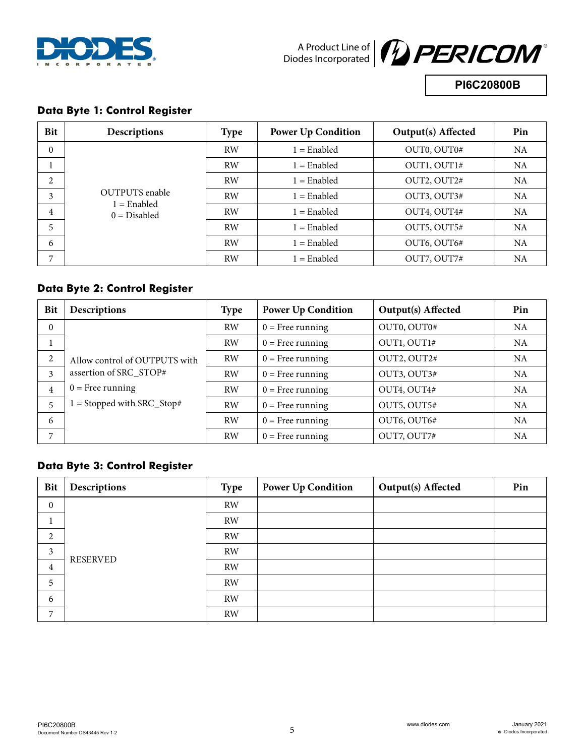



**PI6C20800B**

#### **Data Byte 1: Control Register**

| <b>Bit</b> | Descriptions                    | <b>Type</b> | <b>Power Up Condition</b> | <b>Output(s)</b> Affected | Pin       |
|------------|---------------------------------|-------------|---------------------------|---------------------------|-----------|
| $\theta$   |                                 | <b>RW</b>   | $1 =$ Enabled             | OUT0, OUT0#               | <b>NA</b> |
|            |                                 | <b>RW</b>   | $1 =$ Enabled             | OUT1, OUT1#               | <b>NA</b> |
| 2          |                                 | <b>RW</b>   | $1 =$ Enabled             | OUT2, OUT2#               | <b>NA</b> |
| 3          | <b>OUTPUTS</b> enable           | <b>RW</b>   | $1 =$ Enabled             | OUT3, OUT3#               | <b>NA</b> |
| 4          | $1 =$ Enabled<br>$0 = Disabled$ | <b>RW</b>   | $1 =$ Enabled             | OUT4, OUT4#               | <b>NA</b> |
| 5          |                                 | <b>RW</b>   | $1 =$ Enabled             | OUT5, OUT5#               | <b>NA</b> |
| 6          |                                 | <b>RW</b>   | $1 =$ Enabled             | OUT6, OUT6#               | NA        |
| 7          |                                 | <b>RW</b>   | $1 =$ Enabled             | OUT7, OUT7#               | <b>NA</b> |

#### **Data Byte 2: Control Register**

| <b>Bit</b>     | <b>Descriptions</b>           | <b>Type</b> | <b>Power Up Condition</b> | Output(s) Affected | Pin       |
|----------------|-------------------------------|-------------|---------------------------|--------------------|-----------|
| $\Omega$       |                               | <b>RW</b>   | $0 =$ Free running        | OUT0, OUT0#        | NA.       |
|                |                               | <b>RW</b>   | $0$ = Free running        | OUT1, OUT1#        | <b>NA</b> |
| 2              | Allow control of OUTPUTS with | RW          | $0 =$ Free running        | OUT2, OUT2#        | <b>NA</b> |
| 3              | assertion of SRC_STOP#        | RW          | $0$ = Free running        | OUT3, OUT3#        | <b>NA</b> |
| $\overline{4}$ | $0$ = Free running            | RW          | $0 =$ Free running        | OUT4, OUT4#        | <b>NA</b> |
| 5              | $1 =$ Stopped with SRC_Stop#  | <b>RW</b>   | $0 =$ Free running        | OUT5, OUT5#        | <b>NA</b> |
| 6              |                               | <b>RW</b>   | $0 =$ Free running        | OUT6, OUT6#        | <b>NA</b> |
|                |                               | RW          | $0 =$ Free running        | OUT7, OUT7#        | NA        |

## **Data Byte 3: Control Register**

| <b>Bit</b>       | Descriptions    | <b>Type</b> | <b>Power Up Condition</b> | <b>Output(s)</b> Affected | Pin |
|------------------|-----------------|-------------|---------------------------|---------------------------|-----|
| $\boldsymbol{0}$ |                 | <b>RW</b>   |                           |                           |     |
|                  |                 | <b>RW</b>   |                           |                           |     |
| 2                |                 | RW          |                           |                           |     |
| 3                | <b>RESERVED</b> | <b>RW</b>   |                           |                           |     |
| $\overline{4}$   |                 | <b>RW</b>   |                           |                           |     |
| 5                |                 | <b>RW</b>   |                           |                           |     |
| 6                |                 | RW          |                           |                           |     |
| 7                |                 | RW          |                           |                           |     |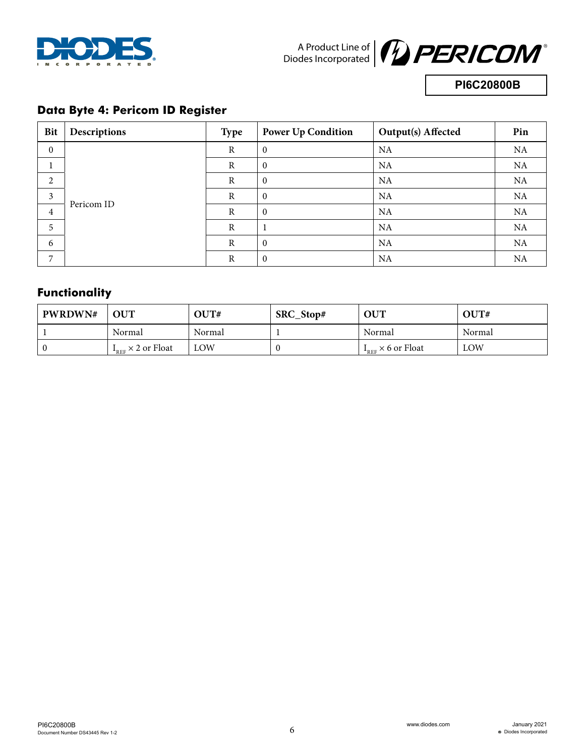



**PI6C20800B**

## **Data Byte 4: Pericom ID Register**

| <b>Bit</b>     | Descriptions | <b>Type</b>  | <b>Power Up Condition</b> | Output(s) Affected | Pin |
|----------------|--------------|--------------|---------------------------|--------------------|-----|
| $\mathbf{0}$   |              | $\mathbb{R}$ | $\mathbf{0}$              | NA                 | NA  |
|                |              | $\mathbb{R}$ | $\mathbf{0}$              | NA                 | NA  |
| $\overline{2}$ |              | R            | $\mathbf{0}$              | NA                 | NA  |
| 3              |              | $\mathbb{R}$ | $\theta$                  | <b>NA</b>          | NA  |
| $\overline{4}$ | Pericom ID   | $\mathbb{R}$ | $\theta$                  | NA                 | NA  |
| 5              |              | $\mathbb{R}$ | 1                         | NA                 | NA  |
| 6              |              | $\mathbb{R}$ | $\theta$                  | NA                 | NA  |
| 7              |              | $\mathbb{R}$ | $\theta$                  | NA                 | NA  |

# **Functionality**

| <b>PWRDWN#</b> | <b>OUT</b>             | $\rm OUT^*$ | SRC_Stop# | <b>OUT</b>             | OUT#       |
|----------------|------------------------|-------------|-----------|------------------------|------------|
|                | Normal                 | Normal      |           | Normal                 | Normal     |
|                | $I_{REF}$ × 2 or Float | LOW         |           | $I_{REF}$ × 6 or Float | <b>LOW</b> |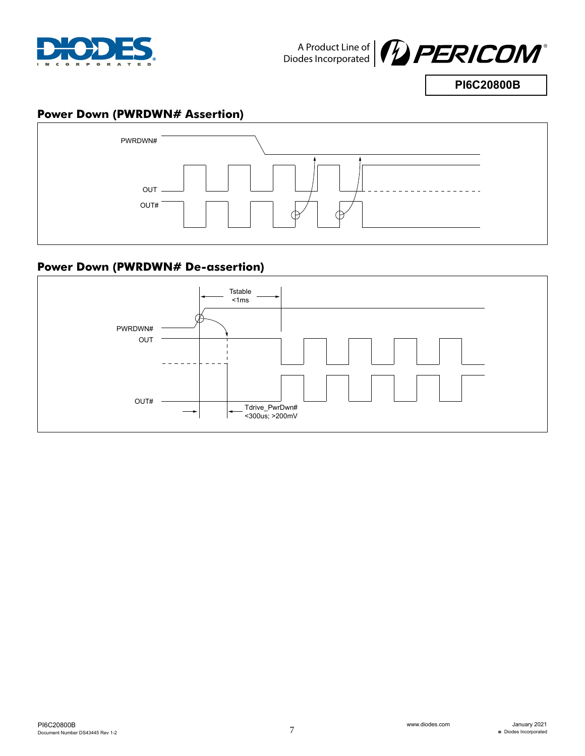



**PI6C20800B**

### **Power Down (PWRDWN# Assertion)**



## **Power Down (PWRDWN# De-assertion)**

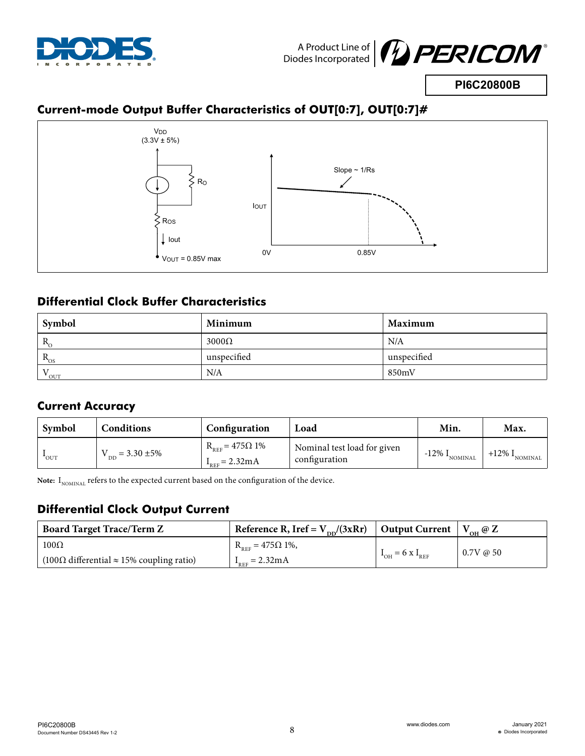



**PI6C20800B**

# **Current-mode Output Buffer Characteristics of OUT[0:7], OUT[0:7]#**



## **Differential Clock Buffer Characteristics**

| Symbol                | Minimum      | Maximum     |  |
|-----------------------|--------------|-------------|--|
| $R_{\circ}$           | $3000\Omega$ | N/A         |  |
| $R_{OS}$              | unspecified  | unspecified |  |
| N <sub>7</sub><br>OUT | N/A          | 850mV       |  |

# **Current Accuracy**

| Symbol           | Conditions              | Configuration                                                   | Load                                         | Min.                           | Max.                         |
|------------------|-------------------------|-----------------------------------------------------------------|----------------------------------------------|--------------------------------|------------------------------|
| $^{\bullet}$ OUT | $V_{DD} = 3.30 \pm 5\%$ | $R_{REF} = 475 \Omega 1\%$<br>$I_{\text{RFE}} = 2.32 \text{mA}$ | Nominal test load for given<br>configuration | $1 -12\%$ I <sub>nominal</sub> | $+12\%$ $1_{\text{NOMINAL}}$ |

Note: I<sub>NOMINAL</sub> refers to the expected current based on the configuration of the device.

## **Differential Clock Output Current**

| <b>Board Target Trace/Term Z</b>                                       | Reference R, Iref = $V_{DD}/(3xRr)$   Output Current |                                 | $V_{\text{OH}} @ \mathbf{Z}$ |
|------------------------------------------------------------------------|------------------------------------------------------|---------------------------------|------------------------------|
| $100\Omega$                                                            | $R_{REF} = 475\Omega$ 1%,                            |                                 | $0.7V \omega 50$             |
| $(100\Omega \text{ differential} \approx 15\% \text{ coupling ratio})$ | $I_{REF} = 2.32 \text{mA}$                           | $I_{OH} = 6 \text{ x } I_{REF}$ |                              |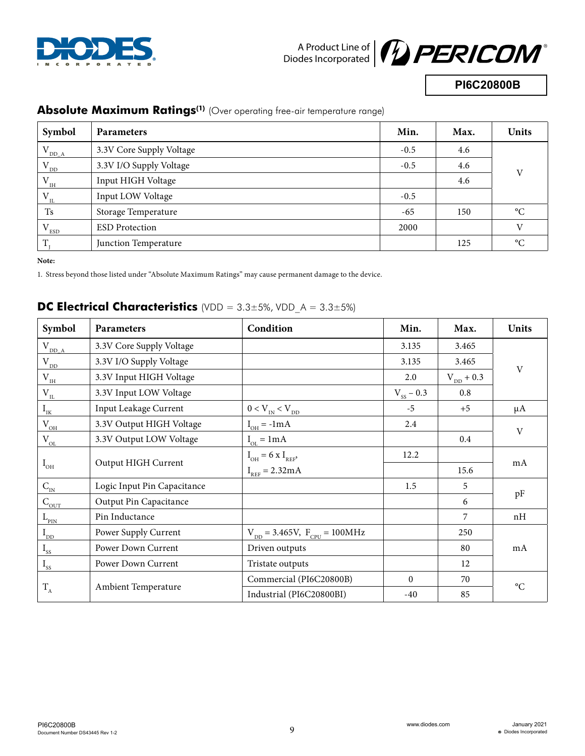



**PI6C20800B**

| Symbol               | <b>Parameters</b>        | Min.   | Max. | <b>Units</b>    |  |
|----------------------|--------------------------|--------|------|-----------------|--|
| $V_{DD\_A}$          | 3.3V Core Supply Voltage | $-0.5$ | 4.6  |                 |  |
| $V_{DD}$             | 3.3V I/O Supply Voltage  | $-0.5$ | 4.6  | V               |  |
| $V_{\underline{I}H}$ | Input HIGH Voltage       |        | 4.6  |                 |  |
| $V_{_{IL}}$          | Input LOW Voltage        | $-0.5$ |      |                 |  |
| <b>Ts</b>            | Storage Temperature      | $-65$  | 150  | $\rm ^{\circ}C$ |  |
| $^{\prime}$ ESD      | <b>ESD</b> Protection    | 2000   |      | $\overline{V}$  |  |
| T                    | Junction Temperature     |        | 125  | $\rm ^{\circ}C$ |  |

#### **Absolute Maximum Ratings<sup>(1)</sup>** (Over operating free-air temperature range)

**Note:** 

1. Stress beyond those listed under "Absolute Maximum Ratings" may cause permanent damage to the device.

#### **Symbol Parameters Condition Min. Max. Units**  $V_{DDA}$  3.3V Core Supply Voltage 3.135 3.465 V  $V_{DD}$  3.3V I/O Supply Voltage 3.135 3.465  $V_{\text{H}}$  3.3V Input HIGH Voltage 2.0  $V_{\text{DD}} + 0.3$  $V_{\text{H}}$  3.3V Input LOW Voltage  $V_{\text{S}}$  – 0.3 0.8  $I_{IK}$  | Input Leakage Current  $0 < V_{IN} < V_{DD}$   $-5$  |  $+5$  |  $\mu A$  $V_{OH}$  3.3V Output HIGH Voltage  $I_{OH} = -1mA$  2.4 V  $V_{\text{OL}}$  3.3V Output LOW Voltage  $I_{\text{ot}} = 1 \text{ mA}$  0.4  $I_{OH}$ Output HIGH Current  $I_{OH} = 6 \text{ x } I_{REF}$  $I_{\text{RFE}} = 2.32 \text{mA}$ 12.2 mA 15.6  $C_{\text{IN}}$  | Logic Input Pin Capacitance | 1.5 | 5  $\frac{m}{C_{\text{OUT}}}$  Output Pin Capacitance pF  $L_{\text{PIN}}$  Pin Inductance  $1/7$  nH  $I_{DD}$  Power Supply Current  $V_{DD} = 3.465V$ ,  $F_{CPU} = 100MHz$  250 I<sub>ss</sub> Power Down Current | Driven outputs |  $\blacksquare$  80 | mA  $I_{ss}$  Power Down Current Tristate outputs 12  $T_A$  Ambient Temperature Commercial (PI6C20800B) 0 70  $\rm ^{o}C$ Industrial (PI6C20800BI) -40 -40 85

#### **DC Electrical Characteristics** (VDD = 3.3±5%, VDD A = 3.3±5%)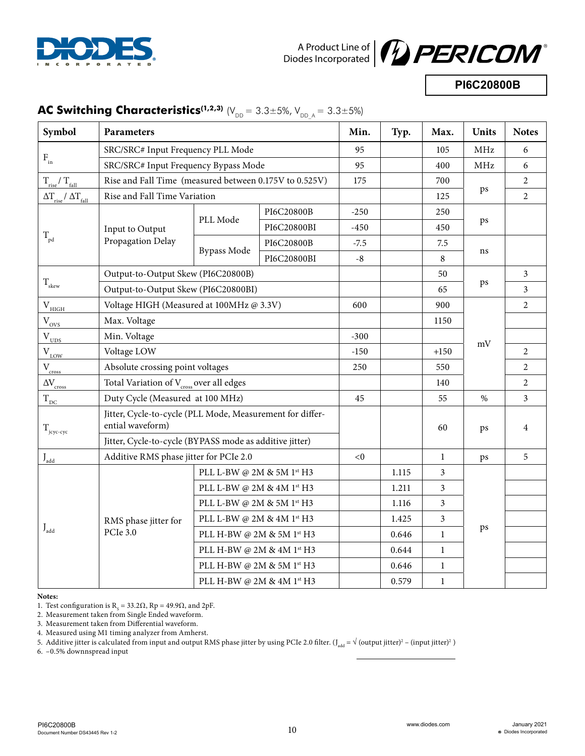



**PI6C20800B**

| Symbol                                         | Parameters                                                                    |                                             |             | Min.        | Typ.  | Max.           | <b>Units</b>   | <b>Notes</b>   |
|------------------------------------------------|-------------------------------------------------------------------------------|---------------------------------------------|-------------|-------------|-------|----------------|----------------|----------------|
|                                                | SRC/SRC# Input Frequency PLL Mode                                             |                                             |             | 95          |       | 105            | MHz            | 6              |
| $\mathbf{F}_{\text{in}}$                       | SRC/SRC# Input Frequency Bypass Mode                                          |                                             |             | 95          |       | 400            | MHz            | 6              |
| $\rm T_{\rm rise} / \rm \, T_{\rm fall}$       | Rise and Fall Time (measured between 0.175V to 0.525V)                        |                                             |             | 175         |       | 700            |                | $\overline{2}$ |
| $\Delta T_{\rm rise} / \, \Delta T_{\rm fall}$ | Rise and Fall Time Variation                                                  |                                             |             |             |       | 125            | ps             | $\overline{2}$ |
|                                                |                                                                               | PLL Mode                                    | PI6C20800B  | $-250$      |       | 250            | ps             |                |
|                                                | Input to Output                                                               |                                             | PI6C20800BI | $-450$      |       | 450            |                |                |
| $T_{\rm pd}$                                   | Propagation Delay                                                             |                                             | PI6C20800B  | $-7.5$      |       | 7.5            | ns             |                |
|                                                |                                                                               | <b>Bypass Mode</b>                          | PI6C20800BI | $\mbox{-}8$ |       | $\, 8$         |                |                |
|                                                |                                                                               | Output-to-Output Skew (PI6C20800B)          |             |             |       | 50             |                | $\overline{3}$ |
| $\rm T_{\rm skew}$                             | Output-to-Output Skew (PI6C20800BI)                                           |                                             |             |             |       | 65             | ps             | 3              |
| $\rm V_{HIGH}$                                 | Voltage HIGH (Measured at 100MHz @ 3.3V)                                      |                                             |             | 600         |       | 900            |                | $\overline{2}$ |
| $\rm V_{\rm OVS}$                              | Max. Voltage                                                                  |                                             |             |             |       | 1150           |                |                |
| $V_{\text{UDS}}$                               | Min. Voltage<br>Voltage LOW                                                   |                                             |             | $-300$      |       |                | mV             |                |
| $\rm V_{_{LOW}}$                               |                                                                               |                                             |             | $-150$      |       | $+150$         |                | 2              |
| $V_{\frac{cross}{}}$                           | Absolute crossing point voltages                                              |                                             |             | 250         |       | 550            |                | 2              |
| $\Delta\rm {V_{cross}}$                        | Total Variation of V <sub>cross</sub> over all edges                          |                                             |             |             |       | 140            |                | $\overline{2}$ |
| $T_{\underline{\textit{DC}}}$                  | Duty Cycle (Measured at 100 MHz)                                              |                                             |             | 45          |       | 55             | $\%$           | 3              |
| $T_{j\text{cyc-cyc}}$                          | Jitter, Cycle-to-cycle (PLL Mode, Measurement for differ-<br>ential waveform) |                                             |             |             | 60    | ps             | $\overline{4}$ |                |
|                                                | Jitter, Cycle-to-cycle (BYPASS mode as additive jitter)                       |                                             |             |             |       |                |                |                |
| $J_{\rm add}$                                  | Additive RMS phase jitter for PCIe 2.0                                        |                                             |             | < 0         |       | $\mathbf{1}$   | ps             | 5              |
|                                                | RMS phase jitter for<br><b>PCIe 3.0</b>                                       | PLL L-BW @ 2M & 5M 1st H3                   |             |             | 1.115 | $\mathfrak{Z}$ |                |                |
|                                                |                                                                               | PLL L-BW @ 2M & 4M $1^{\rm st} \, {\rm H3}$ |             |             | 1.211 | 3              | ps             |                |
|                                                |                                                                               | PLL L-BW @ 2M & 5M 1st H3                   |             |             | 1.116 | 3              |                |                |
|                                                |                                                                               | PLL L-BW @ 2M & 4M 1st H3                   |             |             | 1.425 | 3              |                |                |
| $\boldsymbol{J}_{\text{add}}$                  |                                                                               | PLL H-BW @ 2M & 5M 1st H3                   |             |             | 0.646 | $\mathbf{1}$   |                |                |
|                                                |                                                                               | PLL H-BW @ 2M & 4M 1st H3                   |             |             | 0.644 | $\mathbf{1}$   |                |                |
|                                                |                                                                               | PLL H-BW @ 2M & 5M 1st H3                   |             |             | 0.646 | $\mathbf{1}$   |                |                |
|                                                | PLL H-BW @ 2M & 4M $1^{\rm st}$ H3                                            |                                             |             |             | 0.579 | $\mathbf{1}$   |                |                |

## **AC Switching Characteristics<sup>(1,2,3)</sup>** ( $V_{DD} = 3.3 \pm 5\%$ ,  $V_{DDA} = 3.3 \pm 5\%$ )

**Notes:**

1. Test configuration is  $R_s = 33.2\Omega$ , Rp = 49.9 $\Omega$ , and 2pF.

2. Measurement taken from Single Ended waveform.

3. Measurement taken from Differential waveform.

4. Measured using M1 timing analyzer from Amherst.

5. Additive jitter is calculated from input and output RMS phase jitter by using PCIe 2.0 filter. (J<sub>add</sub> = √ (output jitter)<sup>2</sup> – (input jitter)<sup>2</sup>)

6. –0.5% downnspread input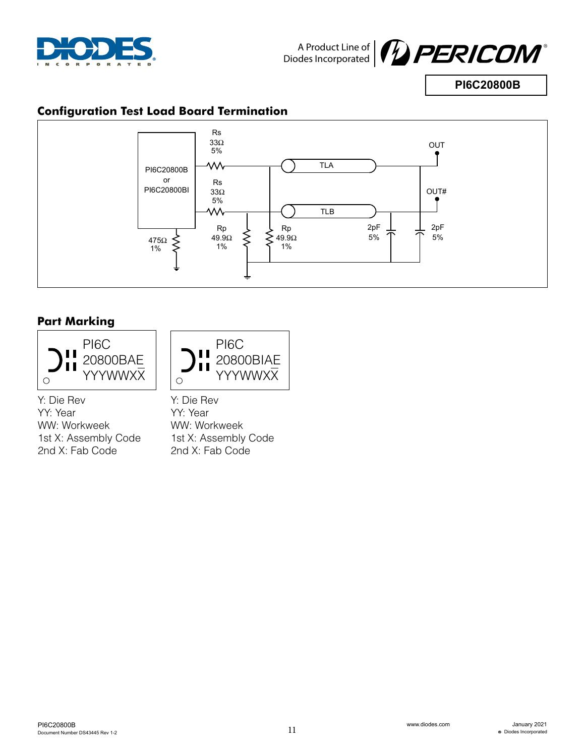



**PI6C20800B**

## **Configuration Test Load Board Termination**



## **Part Marking**





Y: Die Rev YY: Year WW: Workweek 1st X: Assembly Code 2nd X: Fab Code

Y: Die Rev YY: Year WW: Workweek 1st X: Assembly Code 2nd X: Fab Code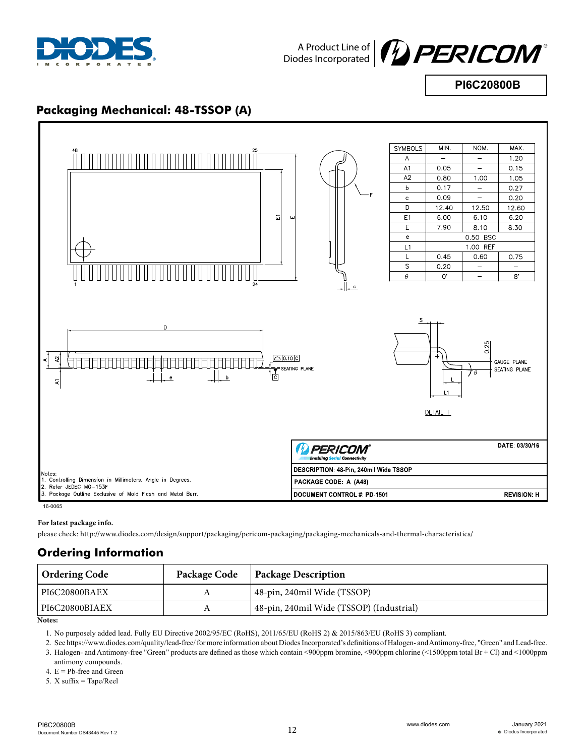



**PI6C20800B**

### **Packaging Mechanical: 48-TSSOP (A)**



#### **For latest package info.**

please check: http://www.diodes.com/design/support/packaging/pericom-packaging/packaging-mechanicals-and-thermal-characteristics/

#### **Ordering Information**

| Ordering Code  | Package Code | <b>Package Description</b>               |
|----------------|--------------|------------------------------------------|
| PI6C20800BAEX  |              | 48-pin, 240mil Wide (TSSOP)              |
| PI6C20800BIAEX |              | 48-pin, 240mil Wide (TSSOP) (Industrial) |

**Notes:**

1. No purposely added lead. Fully EU Directive 2002/95/EC (RoHS), 2011/65/EU (RoHS 2) & 2015/863/EU (RoHS 3) compliant.

2. See https://www.diodes.com/quality/lead-free/ for more information about Diodes Incorporated's definitions of Halogen- and Antimony-free, "Green" and Lead-free.

3. Halogen- and Antimony-free "Green" products are defined as those which contain <900ppm bromine, <900ppm chlorine (<1500ppm total Br + Cl) and <1000ppm

antimony compounds.

4.  $E = Pb$ -free and Green

5. X suffix = Tape/Reel